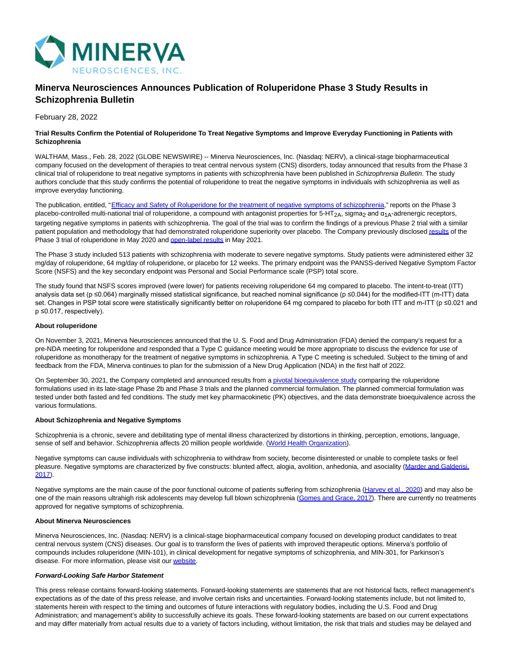

# **Minerva Neurosciences Announces Publication of Roluperidone Phase 3 Study Results in Schizophrenia Bulletin**

February 28, 2022

#### **Trial Results Confirm the Potential of Roluperidone To Treat Negative Symptoms and Improve Everyday Functioning in Patients with Schizophrenia**

WALTHAM, Mass., Feb. 28, 2022 (GLOBE NEWSWIRE) -- Minerva Neurosciences, Inc. (Nasdaq: NERV), a clinical-stage biopharmaceutical company focused on the development of therapies to treat central nervous system (CNS) disorders, today announced that results from the Phase 3 clinical trial of roluperidone to treat negative symptoms in patients with schizophrenia have been published in Schizophrenia Bulletin. The study authors conclude that this study confirms the potential of roluperidone to treat the negative symptoms in individuals with schizophrenia as well as improve everyday functioning.

The publication, entitled, ["Efficacy and Safety of Roluperidone for the treatment of negative symptoms of schizophrenia,"](https://www.globenewswire.com/Tracker?data=117Zy23RKC22yYr2W1QBH5kWVbaf8tjedslQqjn-QGGDToL07WDKHtOeYcINFxtU_BkZO9RAcCUmBT74x52hea2K7PZQo2mE-xURHrrAozKQgsVvBoWDRJNfKZshV6WlaHaP3i9QVOUDfMM5SWQ6ATo_ZG7LakENVtlMY1-UB1ZUXa7-ygMgs30wCAgPL8236r6Z-NbKAlFC9j-xnFkIl_AeXW1Ic0whG4Q0iKQvJQLLEDqysrdmmEVXB_4bE6a2wf9LZhUX9yHC0W44-hTTRjNQuj-lqGulYdXf9k7x1jI=) reports on the Phase 3 placebo-controlled multi-national trial of roluperidone, a compound with antagonist properties for 5-HT<sub>2A</sub>, sigma<sub>2</sub> and  $\alpha_{1A}$ -adrenergic receptors, targeting negative symptoms in patients with schizophrenia. The goal of the trial was to confirm the findings of a previous Phase 2 trial with a similar patient population and methodology that had demonstrated roluperidone superiority over placebo. The Company previously disclose[d results o](https://www.globenewswire.com/Tracker?data=0C3cgX3_DxeoP0xS7-0_TUcShl1t7-dYvPIEpYfzAEbNJ-k8-RekWN_MCxBhWu8MXGd4-xp_un9qjl13zmvPhemwxKtYLmW-MxbE8G5KAvgJpBtIVI-r0hsJj4PPFFGktSJrE3NjqbFKFxscI6stn0fVhFVMgid51iaQp00z3WxYkdrTmisyGmJDOsu-50RJMm_UkTOR4pZww0yKHAeyJQ==)f the Phase 3 trial of roluperidone in May 2020 and [open-label results i](https://www.globenewswire.com/Tracker?data=mZADt0TGqM7RG-H0tKw2e1jGeFqKnOxYkYpgTjuX827LvCV04SRusZqCFBzCUDlItexNA6GaqqRvwkd4yQkRgV5_g7xLn9men9TtD5R-690E4ASWhB3oZgJOtyh23_eq5TKSjQMPrrt_UgFtCpOSsfYGx_0B5gN40ytpKxuC87vZFoaCpRDwBZ6XO48lyU7Lg1Td4UrqZ1dCHMkJGTmKQsXh6MW5n_6bXG0BAJovmRU=)n May 2021.

The Phase 3 study included 513 patients with schizophrenia with moderate to severe negative symptoms. Study patients were administered either 32 mg/day of roluperidone, 64 mg/day of roluperidone, or placebo for 12 weeks. The primary endpoint was the PANSS-derived Negative Symptom Factor Score (NSFS) and the key secondary endpoint was Personal and Social Performance scale (PSP) total score.

The study found that NSFS scores improved (were lower) for patients receiving roluperidone 64 mg compared to placebo. The intent-to-treat (ITT) analysis data set (p ≤0.064) marginally missed statistical significance, but reached nominal significance (p ≤0.044) for the modified-ITT (m-ITT) data set. Changes in PSP total score were statistically significantly better on roluperidone 64 mg compared to placebo for both ITT and m-ITT (p ≤0.021 and p ≤0.017, respectively).

#### **About roluperidone**

On November 3, 2021, Minerva Neurosciences announced that the U. S. Food and Drug Administration (FDA) denied the company's request for a pre-NDA meeting for roluperidone and responded that a Type C guidance meeting would be more appropriate to discuss the evidence for use of roluperidone as monotherapy for the treatment of negative symptoms in schizophrenia. A Type C meeting is scheduled. Subject to the timing of and feedback from the FDA, Minerva continues to plan for the submission of a New Drug Application (NDA) in the first half of 2022.

On September 30, 2021, the Company completed and announced results from [a pivotal bioequivalence study c](https://www.globenewswire.com/Tracker?data=i19WaQO6p2OsrW5QEsZoNYHtnaSG502zCZsak-nZIPoUG-FAjipcVwgk4QzuvG1p5QlMIFCgzFOUP8EThU-ZNoJ4t2uhFwwm5gcZ3Ez2wq1KRqsgc6sZBN9xiwBm8IU6JDGsENMOZVvMlQI8aSsYa87hOs-lJeWsY2jitaCTtFDHjFttE7E4j6ylsfH8W2yqzcJYLMISnZUTXYat_X2b2BRzMYJV_UzzhKinmjArs_fazi4Jfr_gztSOJvcHUqtv)omparing the roluperidone formulations used in its late-stage Phase 2b and Phase 3 trials and the planned commercial formulation. The planned commercial formulation was tested under both fasted and fed conditions. The study met key pharmacokinetic (PK) objectives, and the data demonstrate bioequivalence across the various formulations.

### **About Schizophrenia and Negative Symptoms**

Schizophrenia is a chronic, severe and debilitating type of mental illness characterized by distortions in thinking, perception, emotions, language, sense of self and behavior. Schizophrenia affects 20 million people worldwide. [\(World Health Organization\).](https://www.globenewswire.com/Tracker?data=drD5P4ha0OnRIJpPVa-OUoP1Kwoxu1YOrYm74aTX00f5UEUjfec9h9_n85xBN11Z57xuOezVLuC3s-S_YiixV3Xb9ei6JDl7I75y-WeRU9OuDCkrodx2RVV80VD30sRlkhilkM1lSA4fyOgk4byniA==)

Negative symptoms can cause individuals with schizophrenia to withdraw from society, become disinterested or unable to complete tasks or feel pleasure. Negative symptoms are characterized by five constructs: blunted affect, alogia, avolition, anhedonia, and asociality [\(Marder and Galderisi,](https://www.globenewswire.com/Tracker?data=F3Q-anj6pF6M3IxMqq6zc1UuHSHiDwpvOr9KwfKSPqK2WDcJkP_RHTbF2ThNQoFTK9TJa4et_bs1nnondJIfso2IPAvQLOH8Yr6ncNd1kAyl1RMo4OqYpXRsbgG1aIAv) 2017).

Negative symptoms are the main cause of the poor functional outcome of patients suffering from schizophrenia [\(Harvey et al., 2020\)](https://www.globenewswire.com/Tracker?data=QLAAbFLXxgIbh1H07qbCYwXkP2YB91TUXK46mpIywhzJ9FLWXtqewvCPcfzHrKh9ElH-30xX7W1-XjXyBup4i8wfv5FBzl_QhUHeZHFkFqvO_CIFpWzUQhbtexySjoH_) and may also be one of the main reasons ultrahigh risk adolescents may develop full blown schizophrenia [\(Gomes and Grace, 2017\).](https://www.globenewswire.com/Tracker?data=kBbay2TQMonL2J51w0MsTBzs60vmA5YlmRl7lMRNzJjqsTr7wbQcIgV4Nmuz_HWN-c8qnErtrIr62imiGh6veovDz-e99kgLqbrESuA3h9wL4kaP7VNYqRwZ_RAWGc8tfvm6C6kp5-qchpXE2Q7vztnpUcWtPbdSacsKyGfVUIx3PlpSH3jOAr8EXa_zb8Im7Mj89lisgfHrs6vbM5YLqiZXSa5DGFJYWpI8CCEjK1EYn-wIWsPpSMC-vxKZ00Fm) There are currently no treatments approved for negative symptoms of schizophrenia.

## **About Minerva Neurosciences**

Minerva Neurosciences, Inc. (Nasdaq: NERV) is a clinical-stage biopharmaceutical company focused on developing product candidates to treat central nervous system (CNS) diseases. Our goal is to transform the lives of patients with improved therapeutic options. Minerva's portfolio of compounds includes roluperidone (MIN-101), in clinical development for negative symptoms of schizophrenia, and MIN-301, for Parkinson's disease. For more information, please visit our [website.](https://www.globenewswire.com/Tracker?data=hOdr8tVFFzUj4d50PrhhU_1em0vE3yEzwTtpohU8vpokXsmB09FbQMx-eld10SMiggYfWBnfhVkn13KmtVb7V-VFqTc-cpWR5W4vzMpL_-E=)

### **Forward-Looking Safe Harbor Statement**

This press release contains forward-looking statements. Forward-looking statements are statements that are not historical facts, reflect management's expectations as of the date of this press release, and involve certain risks and uncertainties. Forward-looking statements include, but not limited to, statements herein with respect to the timing and outcomes of future interactions with regulatory bodies, including the U.S. Food and Drug Administration; and management's ability to successfully achieve its goals. These forward-looking statements are based on our current expectations and may differ materially from actual results due to a variety of factors including, without limitation, the risk that trials and studies may be delayed and